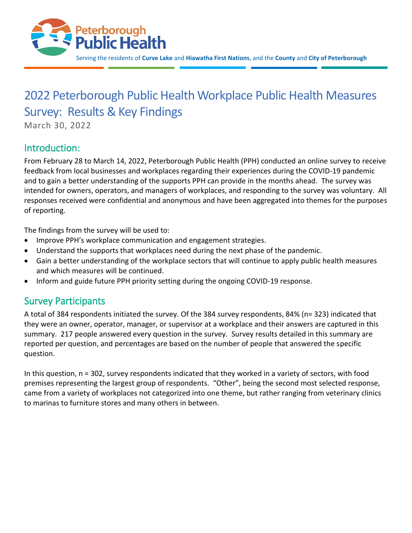

# 2022 Peterborough Public Health Workplace Public Health Measures Survey: Results & Key Findings

March 30, 2022

# Introduction:

From February 28 to March 14, 2022, Peterborough Public Health (PPH) conducted an online survey to receive feedback from local businesses and workplaces regarding their experiences during the COVID-19 pandemic and to gain a better understanding of the supports PPH can provide in the months ahead. The survey was intended for owners, operators, and managers of workplaces, and responding to the survey was voluntary. All responses received were confidential and anonymous and have been aggregated into themes for the purposes of reporting.

The findings from the survey will be used to:

- Improve PPH's workplace communication and engagement strategies.
- Understand the supports that workplaces need during the next phase of the pandemic.
- Gain a better understanding of the workplace sectors that will continue to apply public health measures and which measures will be continued.
- Inform and guide future PPH priority setting during the ongoing COVID-19 response.

# Survey Participants

A total of 384 respondents initiated the survey. Of the 384 survey respondents, 84% (n= 323) indicated that they were an owner, operator, manager, or supervisor at a workplace and their answers are captured in this summary. 217 people answered every question in the survey. Survey results detailed in this summary are reported per question, and percentages are based on the number of people that answered the specific question.

In this question, n = 302, survey respondents indicated that they worked in a variety of sectors, with food premises representing the largest group of respondents. "Other", being the second most selected response, came from a variety of workplaces not categorized into one theme, but rather ranging from veterinary clinics to marinas to furniture stores and many others in between.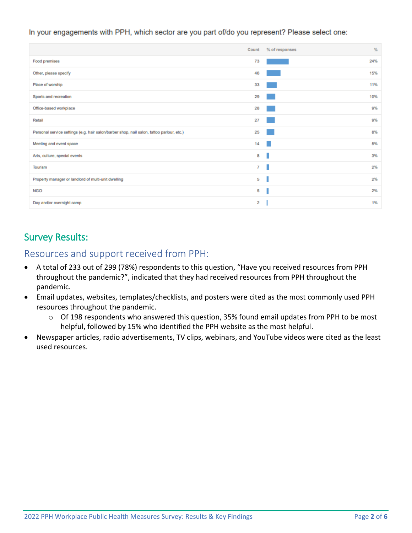#### In your engagements with PPH, which sector are you part of/do you represent? Please select one:

|                                                                                           | Count | % of responses | %   |
|-------------------------------------------------------------------------------------------|-------|----------------|-----|
| Food premises                                                                             | 73    |                | 24% |
| Other, please specify                                                                     | 46    |                | 15% |
| Place of worship                                                                          | 33    |                | 11% |
| Sports and recreation                                                                     | 29    |                | 10% |
| Office-based workplace                                                                    | 28    |                | 9%  |
| Retail                                                                                    | 27    |                | 9%  |
| Personal service settings (e.g. hair salon/barber shop, nail salon, tattoo parlour, etc.) | 25    |                | 8%  |
| Meeting and event space                                                                   | 14    |                | 5%  |
| Arts, culture, special events                                                             | 8     | ı              | 3%  |
| Tourism                                                                                   | 7     | ٠              | 2%  |
| Property manager or landlord of multi-unit dwelling                                       | 5     |                | 2%  |
| <b>NGO</b>                                                                                | 5     |                | 2%  |
| Day and/or overnight camp                                                                 | 2     |                | 1%  |

# Survey Results:

Resources and support received from PPH:

- A total of 233 out of 299 (78%) respondents to this question, "Have you received resources from PPH throughout the pandemic?", indicated that they had received resources from PPH throughout the pandemic.
- Email updates, websites, templates/checklists, and posters were cited as the most commonly used PPH resources throughout the pandemic.
	- o Of 198 respondents who answered this question, 35% found email updates from PPH to be most helpful, followed by 15% who identified the PPH website as the most helpful.
- Newspaper articles, radio advertisements, TV clips, webinars, and YouTube videos were cited as the least used resources.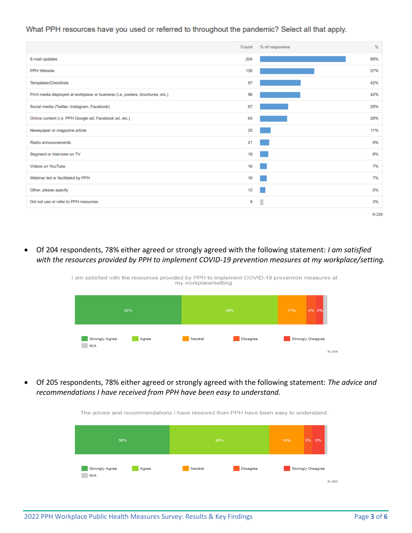#### What PPH resources have you used or referred to throughout the pandemic? Select all that apply.

|                                                                                | Count | % of responses | %     |
|--------------------------------------------------------------------------------|-------|----------------|-------|
| E-mail updates                                                                 | 204   |                | 89%   |
| <b>PPH Website</b>                                                             | 130   |                | 57%   |
| Templates/Checklists                                                           | 97    |                | 42%   |
| Print media displayed at workplace or business (i.e. posters, brochures, etc.) | 96    |                | 42%   |
| Social media (Twitter, Instagram, Facebook)                                    | 67    |                | 29%   |
| Online content (i.e. PPH Google ad, Facebook ad, etc.)                         | 64    |                | 28%   |
| Newspaper or magazine article                                                  | 25    |                | 11%   |
| Radio announcements                                                            | 21    |                | 9%    |
| Segment or interview on TV                                                     | 19    |                | 8%    |
| Videos on YouTube                                                              | 16    |                | 7%    |
| Webinar led or facilitated by PPH                                              | 16    |                | 7%    |
| Other, please specify                                                          | 12    |                | 5%    |
| Did not use or refer to PPH resources                                          | 8     | п              | 3%    |
|                                                                                |       |                | N 229 |

• Of 204 respondents, 78% either agreed or strongly agreed with the following statement: *I am satisfied with the resources provided by PPH to implement COVID-19 prevention measures at my workplace/setting.*

> I am satisfied with the resources provided by PPH to implement COVID-19 prevention measures at my workplace/setting



• Of 205 respondents, 78% either agreed or strongly agreed with the following statement: *The advice and recommendations I have received from PPH have been easy to understand.*

The advice and recommendations I have received from PPH have been easy to understand.

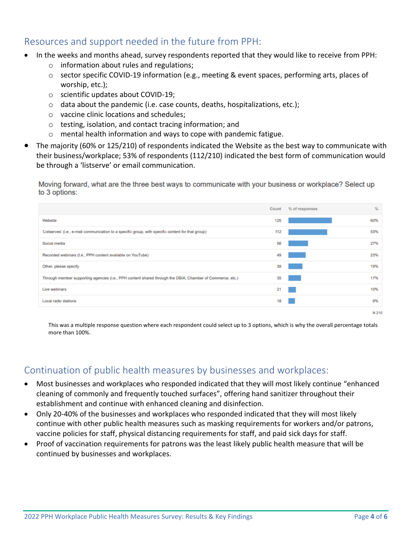# Resources and support needed in the future from PPH:

- In the weeks and months ahead, survey respondents reported that they would like to receive from PPH:
	- o information about rules and regulations;
	- $\circ$  sector specific COVID-19 information (e.g., meeting & event spaces, performing arts, places of worship, etc.);
	- o scientific updates about COVID-19;
	- $\circ$  data about the pandemic (i.e. case counts, deaths, hospitalizations, etc.);
	- o vaccine clinic locations and schedules;
	- o testing, isolation, and contact tracing information; and
	- o mental health information and ways to cope with pandemic fatigue.
- The majority (60% or 125/210) of respondents indicated the Website as the best way to communicate with their business/workplace; 53% of respondents (112/210) indicated the best form of communication would be through a 'listserve' or email communication.

Moving forward, what are the three best ways to communicate with your business or workplace? Select up to 3 options:



This was a multiple response question where each respondent could select up to 3 options, which is why the overall percentage totals more than 100%.

# Continuation of public health measures by businesses and workplaces:

- Most businesses and workplaces who responded indicated that they will most likely continue "enhanced cleaning of commonly and frequently touched surfaces", offering hand sanitizer throughout their establishment and continue with enhanced cleaning and disinfection.
- Only 20-40% of the businesses and workplaces who responded indicated that they will most likely continue with other public health measures such as masking requirements for workers and/or patrons, vaccine policies for staff, physical distancing requirements for staff, and paid sick days for staff.
- Proof of vaccination requirements for patrons was the least likely public health measure that will be continued by businesses and workplaces.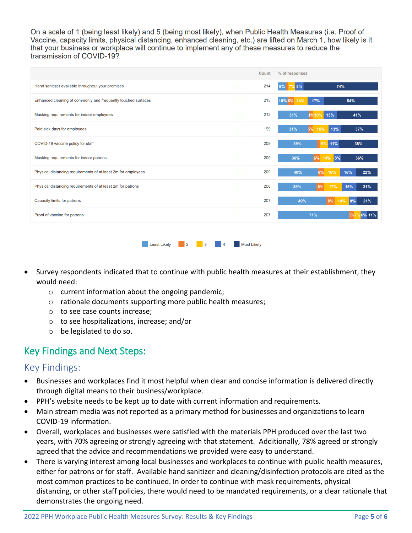On a scale of 1 (being least likely) and 5 (being most likely), when Public Health Measures (i.e. Proof of Vaccine, capacity limits, physical distancing, enhanced cleaning, etc.) are lifted on March 1, how likely is it that your business or workplace will continue to implement any of these measures to reduce the transmission of COVID-19?

|                                                               | Count | % of responses                      |
|---------------------------------------------------------------|-------|-------------------------------------|
| Hand sanitizer available throughout your premises             | 214   | 7% 8%<br>74%<br>8%                  |
| Enhanced cleaning of commonly and frequently touched surfaces | 213   | 14%<br>17%<br>54%<br>10% 6%         |
| Masking requirements for indoor employees                     | 212   | 13%<br>31%<br>4% 10%<br>41%         |
| Paid sick days for employees                                  | 199   | 13%<br>31%<br>16%<br>37%<br>5%      |
| COVID-19 vaccine policy for staff                             | 209   | 11%<br>39%<br>38%<br>9 <sup>9</sup> |
| Masking requirements for indoor patrons                       | 209   | 6%<br>14% 8%<br>36%<br>36%          |
| Physical distancing requirements of at least 2m for employees | 209   | 16%<br>40%<br>6%<br>16%<br>22%      |
| Physical distancing requirements of at least 2m for patrons   | 208   | 8%<br>15%<br>21%<br>39%<br>17%      |
| Capacity limits for patrons                                   | 207   | 8%<br>14%<br>21%<br>49%<br>8%       |
| Proof of vaccine for patrons                                  | 207   | 71%<br>56%11%<br>5%7%               |
|                                                               |       |                                     |

**Example 2** 2 2 3 4 3 Most Likely

- Survey respondents indicated that to continue with public health measures at their establishment, they would need:
	- o current information about the ongoing pandemic;
	- o rationale documents supporting more public health measures;
	- o to see case counts increase;
	- o to see hospitalizations, increase; and/or
	- o be legislated to do so.

## Key Findings and Next Steps:

#### Key Findings:

- Businesses and workplaces find it most helpful when clear and concise information is delivered directly through digital means to their business/workplace.
- PPH's website needs to be kept up to date with current information and requirements.
- Main stream media was not reported as a primary method for businesses and organizations to learn COVID-19 information.
- Overall, workplaces and businesses were satisfied with the materials PPH produced over the last two years, with 70% agreeing or strongly agreeing with that statement. Additionally, 78% agreed or strongly agreed that the advice and recommendations we provided were easy to understand.
- There is varying interest among local businesses and workplaces to continue with public health measures, either for patrons or for staff. Available hand sanitizer and cleaning/disinfection protocols are cited as the most common practices to be continued. In order to continue with mask requirements, physical distancing, or other staff policies, there would need to be mandated requirements, or a clear rationale that demonstrates the ongoing need.